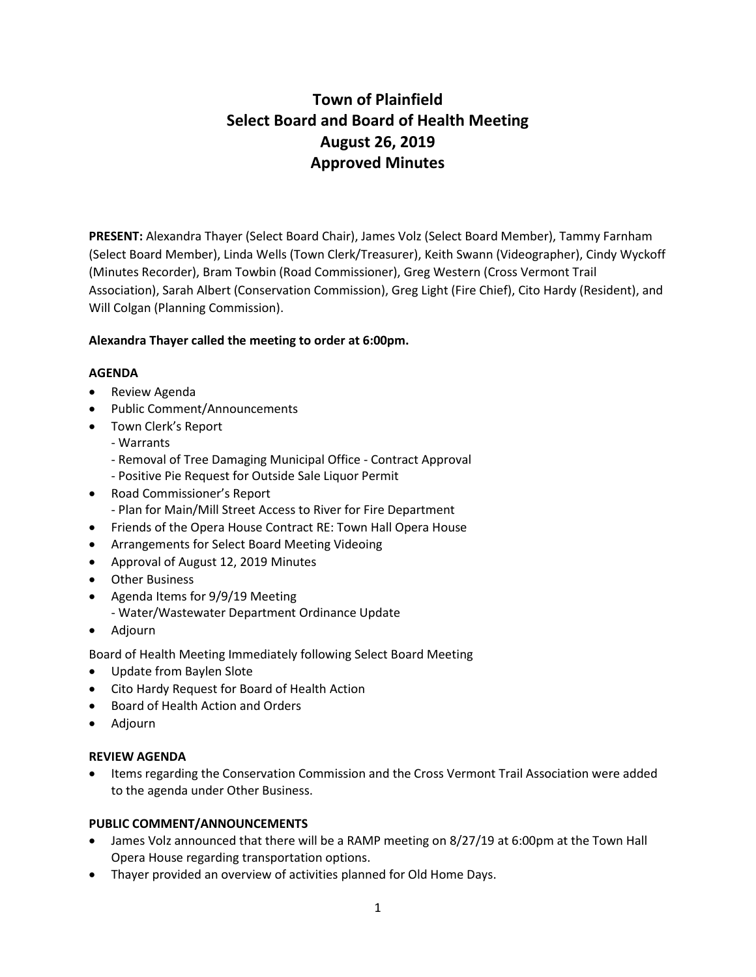# **Town of Plainfield Select Board and Board of Health Meeting August 26, 2019 Approved Minutes**

**PRESENT:** Alexandra Thayer (Select Board Chair), James Volz (Select Board Member), Tammy Farnham (Select Board Member), Linda Wells (Town Clerk/Treasurer), Keith Swann (Videographer), Cindy Wyckoff (Minutes Recorder), Bram Towbin (Road Commissioner), Greg Western (Cross Vermont Trail Association), Sarah Albert (Conservation Commission), Greg Light (Fire Chief), Cito Hardy (Resident), and Will Colgan (Planning Commission).

# **Alexandra Thayer called the meeting to order at 6:00pm.**

# **AGENDA**

- Review Agenda
- Public Comment/Announcements
- Town Clerk's Report
	- Warrants
	- Removal of Tree Damaging Municipal Office Contract Approval
	- Positive Pie Request for Outside Sale Liquor Permit
- Road Commissioner's Report - Plan for Main/Mill Street Access to River for Fire Department
- Friends of the Opera House Contract RE: Town Hall Opera House
- Arrangements for Select Board Meeting Videoing
- Approval of August 12, 2019 Minutes
- Other Business
- Agenda Items for 9/9/19 Meeting - Water/Wastewater Department Ordinance Update
- Adjourn

Board of Health Meeting Immediately following Select Board Meeting

- Update from Baylen Slote
- Cito Hardy Request for Board of Health Action
- Board of Health Action and Orders
- Adjourn

# **REVIEW AGENDA**

 Items regarding the Conservation Commission and the Cross Vermont Trail Association were added to the agenda under Other Business.

# **PUBLIC COMMENT/ANNOUNCEMENTS**

- James Volz announced that there will be a RAMP meeting on 8/27/19 at 6:00pm at the Town Hall Opera House regarding transportation options.
- Thayer provided an overview of activities planned for Old Home Days.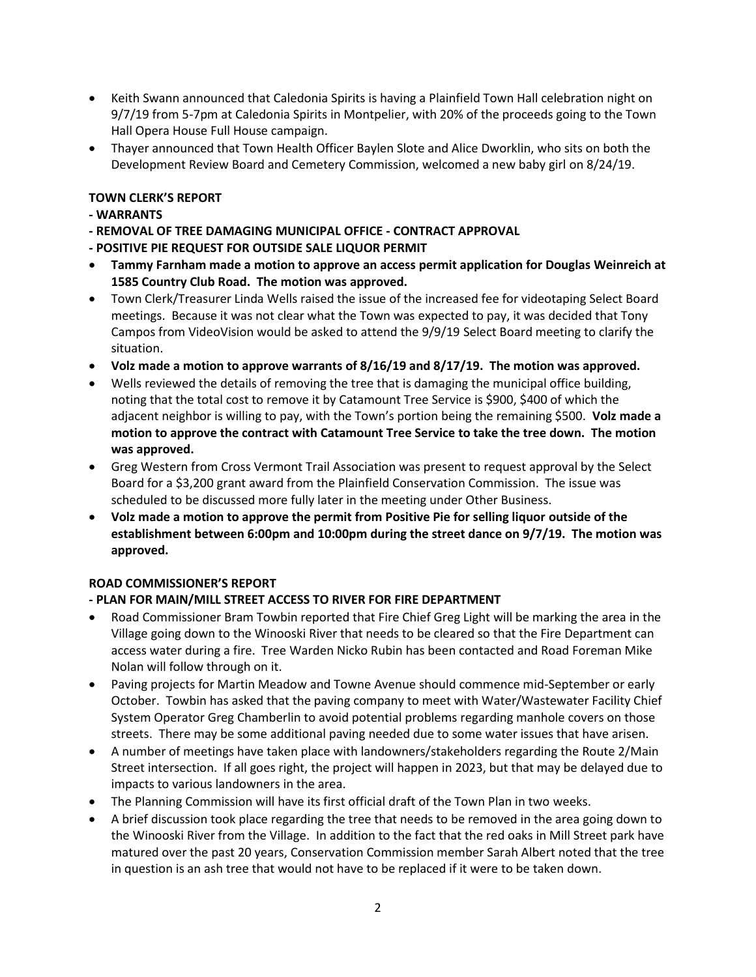- Keith Swann announced that Caledonia Spirits is having a Plainfield Town Hall celebration night on 9/7/19 from 5-7pm at Caledonia Spirits in Montpelier, with 20% of the proceeds going to the Town Hall Opera House Full House campaign.
- Thayer announced that Town Health Officer Baylen Slote and Alice Dworklin, who sits on both the Development Review Board and Cemetery Commission, welcomed a new baby girl on 8/24/19.

# **TOWN CLERK'S REPORT**

- **- WARRANTS**
- **- REMOVAL OF TREE DAMAGING MUNICIPAL OFFICE - CONTRACT APPROVAL**
- **- POSITIVE PIE REQUEST FOR OUTSIDE SALE LIQUOR PERMIT**
- **Tammy Farnham made a motion to approve an access permit application for Douglas Weinreich at 1585 Country Club Road. The motion was approved.**
- Town Clerk/Treasurer Linda Wells raised the issue of the increased fee for videotaping Select Board meetings. Because it was not clear what the Town was expected to pay, it was decided that Tony Campos from VideoVision would be asked to attend the 9/9/19 Select Board meeting to clarify the situation.
- **Volz made a motion to approve warrants of 8/16/19 and 8/17/19. The motion was approved.**
- Wells reviewed the details of removing the tree that is damaging the municipal office building, noting that the total cost to remove it by Catamount Tree Service is \$900, \$400 of which the adjacent neighbor is willing to pay, with the Town's portion being the remaining \$500. **Volz made a motion to approve the contract with Catamount Tree Service to take the tree down. The motion was approved.**
- Greg Western from Cross Vermont Trail Association was present to request approval by the Select Board for a \$3,200 grant award from the Plainfield Conservation Commission. The issue was scheduled to be discussed more fully later in the meeting under Other Business.
- **Volz made a motion to approve the permit from Positive Pie for selling liquor outside of the establishment between 6:00pm and 10:00pm during the street dance on 9/7/19. The motion was approved.**

# **ROAD COMMISSIONER'S REPORT**

# **- PLAN FOR MAIN/MILL STREET ACCESS TO RIVER FOR FIRE DEPARTMENT**

- Road Commissioner Bram Towbin reported that Fire Chief Greg Light will be marking the area in the Village going down to the Winooski River that needs to be cleared so that the Fire Department can access water during a fire. Tree Warden Nicko Rubin has been contacted and Road Foreman Mike Nolan will follow through on it.
- Paving projects for Martin Meadow and Towne Avenue should commence mid-September or early October. Towbin has asked that the paving company to meet with Water/Wastewater Facility Chief System Operator Greg Chamberlin to avoid potential problems regarding manhole covers on those streets. There may be some additional paving needed due to some water issues that have arisen.
- A number of meetings have taken place with landowners/stakeholders regarding the Route 2/Main Street intersection. If all goes right, the project will happen in 2023, but that may be delayed due to impacts to various landowners in the area.
- The Planning Commission will have its first official draft of the Town Plan in two weeks.
- A brief discussion took place regarding the tree that needs to be removed in the area going down to the Winooski River from the Village. In addition to the fact that the red oaks in Mill Street park have matured over the past 20 years, Conservation Commission member Sarah Albert noted that the tree in question is an ash tree that would not have to be replaced if it were to be taken down.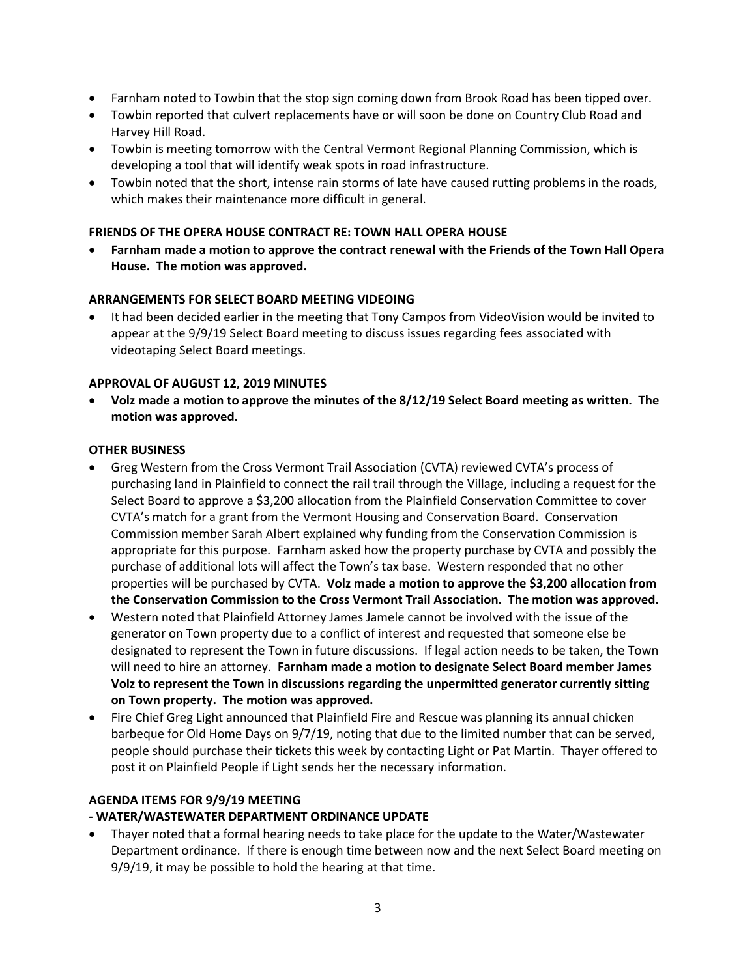- Farnham noted to Towbin that the stop sign coming down from Brook Road has been tipped over.
- Towbin reported that culvert replacements have or will soon be done on Country Club Road and Harvey Hill Road.
- Towbin is meeting tomorrow with the Central Vermont Regional Planning Commission, which is developing a tool that will identify weak spots in road infrastructure.
- Towbin noted that the short, intense rain storms of late have caused rutting problems in the roads, which makes their maintenance more difficult in general.

# **FRIENDS OF THE OPERA HOUSE CONTRACT RE: TOWN HALL OPERA HOUSE**

 **Farnham made a motion to approve the contract renewal with the Friends of the Town Hall Opera House. The motion was approved.**

#### **ARRANGEMENTS FOR SELECT BOARD MEETING VIDEOING**

 It had been decided earlier in the meeting that Tony Campos from VideoVision would be invited to appear at the 9/9/19 Select Board meeting to discuss issues regarding fees associated with videotaping Select Board meetings.

#### **APPROVAL OF AUGUST 12, 2019 MINUTES**

 **Volz made a motion to approve the minutes of the 8/12/19 Select Board meeting as written. The motion was approved.**

#### **OTHER BUSINESS**

- Greg Western from the Cross Vermont Trail Association (CVTA) reviewed CVTA's process of purchasing land in Plainfield to connect the rail trail through the Village, including a request for the Select Board to approve a \$3,200 allocation from the Plainfield Conservation Committee to cover CVTA's match for a grant from the Vermont Housing and Conservation Board. Conservation Commission member Sarah Albert explained why funding from the Conservation Commission is appropriate for this purpose. Farnham asked how the property purchase by CVTA and possibly the purchase of additional lots will affect the Town's tax base. Western responded that no other properties will be purchased by CVTA. **Volz made a motion to approve the \$3,200 allocation from the Conservation Commission to the Cross Vermont Trail Association. The motion was approved.**
- Western noted that Plainfield Attorney James Jamele cannot be involved with the issue of the generator on Town property due to a conflict of interest and requested that someone else be designated to represent the Town in future discussions. If legal action needs to be taken, the Town will need to hire an attorney. **Farnham made a motion to designate Select Board member James Volz to represent the Town in discussions regarding the unpermitted generator currently sitting on Town property. The motion was approved.**
- Fire Chief Greg Light announced that Plainfield Fire and Rescue was planning its annual chicken barbeque for Old Home Days on 9/7/19, noting that due to the limited number that can be served, people should purchase their tickets this week by contacting Light or Pat Martin. Thayer offered to post it on Plainfield People if Light sends her the necessary information.

#### **AGENDA ITEMS FOR 9/9/19 MEETING**

# **- WATER/WASTEWATER DEPARTMENT ORDINANCE UPDATE**

 Thayer noted that a formal hearing needs to take place for the update to the Water/Wastewater Department ordinance. If there is enough time between now and the next Select Board meeting on 9/9/19, it may be possible to hold the hearing at that time.